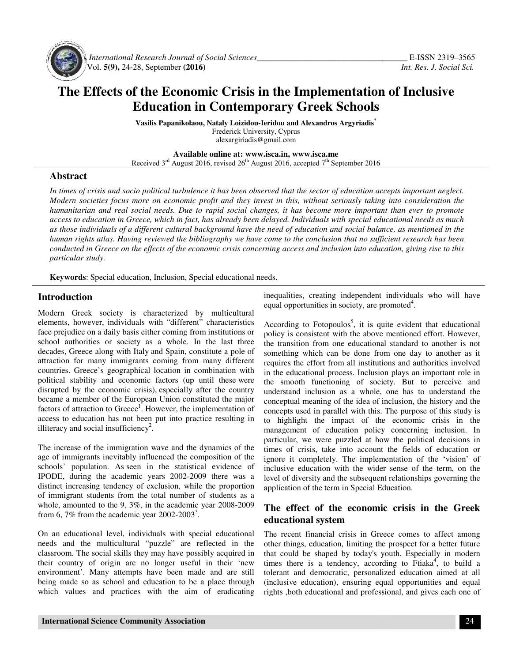

 *International Research Journal Journal of Social Sciences\_\_\_\_\_\_\_\_\_\_\_\_\_\_\_\_\_\_\_\_\_\_\_\_\_\_\_\_\_\_\_\_\_\_\_* Vol. **5(9),** 24-28, September **(2016)** 

# The Effects of the Economic Crisis in the Implementation of Inclusive **Education in Contemporary Greek Schools**

**Vasilis Papanikolaou, Nataly Loizidou Loizidou-Ieridou and Alexandros Argyriadis\*** Frederick University, Cyprus alexargiriadis@gmail.com

**Available Available online at: www.isca.in, www.isca.me**  Received 3<sup>rd</sup> August 2016, revised 26<sup>th</sup> August 2016, accepted 7<sup>th</sup> September 2016

#### **Abstract**

In times of crisis and socio political turbulence it has been observed that the sector of education accepts important neglect. In times of crisis and socio political turbulence it has been observed that the sector of education accepts important neglect.<br>Modern societies focus more on economic profit and they invest in this, without seriously takin humanitarian and real social needs. Due to rapid social changes, it has become more important than ever to promote *access to education in Greece, which in fact fact, has already been delayed. Individuals with special educational needs as much*  as those individuals of a different cultural background have the need of education and social balance, as mentioned in the *human rights atlas. Having reviewed the bibliography we have come to the conclusion that no sufficient research has been*  human rights atlas. Having reviewed the bibliography we have come to the conclusion that no sufficient research has been<br>conducted in Greece on the effects of the economic crisis concerning access and inclusion into educat *particular study. hanges, it has become more important than ever to promn delayed. Individuals with special educational needs as mithe need of education and social balance, as mentioned in ve come to the conclusion that no sufficient resea* 

**Keywords**: Special education, Inclusion, Special educational needs.

## **Introduction**

Modern Greek society is characterized by multicultural elements, however, individuals with "different" characteristics face prejudice on a daily basis either coming from institutions or school authorities or society as a whole. In the last three face prejudice on a daily basis either coming from institutions or school authorities or society as a whole. In the last three decades, Greece along with Italy and Spain, constitute a pole of attraction for many immigrants coming from many different countries. Greece's geographical location in combination with countries. Greece's geographical location in combination with political stability and economic factors (up until these were disrupted by the economic crisis), especially after the country became a member of the European Union constituted the major factors of attraction to Greece<sup>1</sup>. However, the implementation of access to education has not been put into practice resulting in illiteracy and social insufficiency<sup>2</sup>. attraction to Greece<sup>1</sup>. However, the implementation of education has not been put into practice resulting in and social insufficiency<sup>2</sup>.<br>sue of the immigration wave and the dynamics of the

The increase of the immigration wave and the dynamics of the age of immigrants inevitably influenced the composition of the age of immigrants inevitably influenced the composition of the schools' population. As seen in the statistical evidence of IPODE, during the academic years 2002-2009 there was a distinct increasing tendency of exclusion, while the proportion of immigrant students from the total number of students as a of immigrant students from the total number of students as a whole, amounted to the 9, 3%, in the academic year 2008-2009 from 6, 7% from the academic year  $2002 - 2003^3$ .

On an educational level, individuals with special educational needs and the multicultural "puzzle" are reflected in the classroom. The social skills they may have possibly acquired in their country of origin are no longer useful in their 'new environment'. Many attempts have been made and are still being made so as school and education to be a place through which values and practices with the aim of eradicating

equal opportunities in society, are promoted . inequalities, creating independent individuals who will have

**traction**<br>
iequal opportunities in society, are promoted.<br>
Freeck society is characterized by multicultural<br>
equal opportunities in society, are promoted.<br>
Subvertex, individuals with "different" characterizaties Accordin According to Fotopoulos<sup>5</sup>, it is quite evident that educational policy is consistent with the above mentioned effort. However, the transition from one educational standard to another is not something which can be done from one day to another as it requires the effort from all institutions and authorities involved in the educational process. Inclusion plays an important role in the smooth functioning of society. But to perceive and understand inclusion as a whole, one has to understand the conceptual meaning of the idea of inclusion, the history and the concepts used in parallel with this. The purpose of this study is to highlight the impact of the economic crisis in the management of education policy concerning inclusion. In to highlight the impact of the economic crisis in the management of education policy concerning inclusion. In particular, we were puzzled at how the political decisions in times of crisis, take into account the fields of education or ignore it completely. The implementation of the 'vision' of inclusive education with the wider sense of the term, on the level of diversity and the subsequent relationships gover application of the term in Special Education. application providing to Fotopoulos<sup>5</sup>, it is quite evident that educational y is consistent with the above mentioned effort. However, ransition from one educational standard to another is not thing which can be done from one day to a times of crisis, take into account the fields of education or ignore it completely. The implementation of the 'vision' of inclusive education with the wider sense of the term, on the level of diversity and the subsequent r

## **The effect of the economic crisis in the Greek Greek educational system**

The recent financial crisis in Greece comes to affect among other things, education, limiting the prospect for a better future other things, education, limiting the prospect for a better future<br>that could be shaped by today's youth. Especially in modern<br>times, there is a tendency according to Finka<sup>4</sup> to build a times there is a tendency, according to Ftiaka<sup>4</sup>, to build a tolerant and democratic, personalized education aimed at all (inclusive education), ensuring equal opportunities and equal tolerant and democratic, personalized education aimed at all (inclusive education), ensuring equal opportunities and equal rights ,both educational and professional, and gives each one of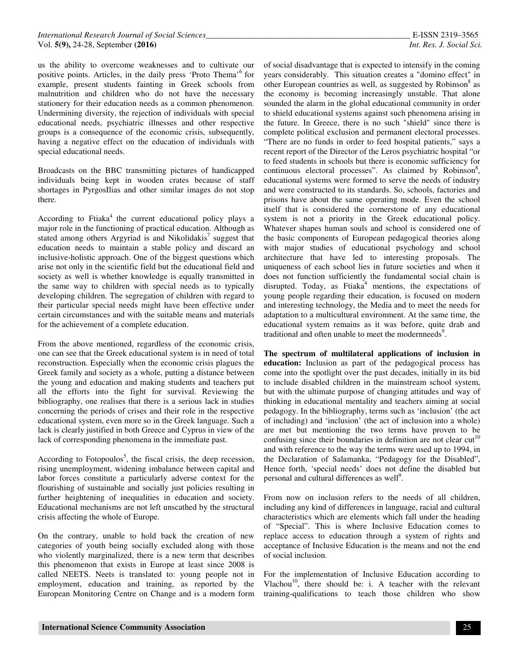us the ability to overcome weaknesses and to cultivate our positive points. Articles, in the daily press 'Proto Thema'<sup>6</sup> for example, present students fainting in Greek schools from malnutrition and children who do not have the necessary stationery for their education needs as a common phenomenon. Undermining diversity, the rejection of individuals with special educational needs, psychiatric illnesses and other respective groups is a consequence of the economic crisis, subsequently, having a negative effect on the education of individuals with special educational needs.

Broadcasts on the BBC transmitting pictures of handicapped individuals being kept in wooden crates because of staff shortages in PyrgosIlias and other similar images do not stop there.

According to Ftiaka<sup>4</sup> the current educational policy plays a major role in the functioning of practical education. Although as stated among others Argyriad is and Nikolidakis<sup>7</sup> suggest that education needs to maintain a stable policy and discard an inclusive-holistic approach. One of the biggest questions which arise not only in the scientific field but the educational field and society as well is whether knowledge is equally transmitted in the same way to children with special needs as to typically developing children. The segregation of children with regard to their particular special needs might have been effective under certain circumstances and with the suitable means and materials for the achievement of a complete education.

From the above mentioned, regardless of the economic crisis, one can see that the Greek educational system is in need of total reconstruction. Especially when the economic crisis plagues the Greek family and society as a whole, putting a distance between the young and education and making students and teachers put all the efforts into the fight for survival. Reviewing the bibliography, one realises that there is a serious lack in studies concerning the periods of crises and their role in the respective educational system, even more so in the Greek language. Such a lack is clearly justified in both Greece and Cyprus in view of the lack of corresponding phenomena in the immediate past.

According to Fotopoulos<sup>5</sup>, the fiscal crisis, the deep recession, rising unemployment, widening imbalance between capital and labor forces constitute a particularly adverse context for the flourishing of sustainable and socially just policies resulting in further heightening of inequalities in education and society. Educational mechanisms are not left unscathed by the structural crisis affecting the whole of Europe.

On the contrary, unable to hold back the creation of new categories of youth being socially excluded along with those who violently marginalized, there is a new term that describes this phenomenon that exists in Europe at least since 2008 is called NEETS. Neets is translated to: young people not in employment, education and training, as reported by the European Monitoring Centre on Change and is a modern form

of social disadvantage that is expected to intensify in the coming years considerably. This situation creates a "domino effect" in other European countries as well, as suggested by Robinson<sup>8</sup> as the economy is becoming increasingly unstable. That alone sounded the alarm in the global educational community in order to shield educational systems against such phenomena arising in the future. In Greece, there is no such "shield" since there is complete political exclusion and permanent electoral processes. "There are no funds in order to feed hospital patients," says a recent report of the Director of the Leros psychiatric hospital "or to feed students in schools but there is economic sufficiency for continuous electoral processes". As claimed by Robinson<sup>8</sup>, educational systems were formed to serve the needs of industry and were constructed to its standards. So, schools, factories and prisons have about the same operating mode. Even the school itself that is considered the cornerstone of any educational system is not a priority in the Greek educational policy. Whatever shapes human souls and school is considered one of the basic components of European pedagogical theories along with major studies of educational psychology and school architecture that have led to interesting proposals. The uniqueness of each school lies in future societies and when it does not function sufficiently the fundamental social chain is disrupted. Today, as Ftiaka<sup>4</sup> mentions, the expectations of young people regarding their education, is focused on modern and interesting technology, the Media and to meet the needs for adaptation to a multicultural environment. At the same time, the educational system remains as it was before, quite drab and traditional and often unable to meet the modernneeds<sup>9</sup>.

**The spectrum of multilateral applications of inclusion in education:** Inclusion as part of the pedagogical process has come into the spotlight over the past decades, initially in its bid to include disabled children in the mainstream school system, but with the ultimate purpose of changing attitudes and way of thinking in educational mentality and teachers aiming at social pedagogy. In the bibliography, terms such as 'inclusion' (the act of including) and 'inclusion' (the act of inclusion into a whole) are met but mentioning the two terms have proven to be confusing since their boundaries in definition are not clear  $cut<sup>10</sup>$ and with reference to the way the terms were used up to 1994, in the Declaration of Salamanka, "Pedagogy for the Disabled", Hence forth, 'special needs' does not define the disabled but personal and cultural differences as well<sup>9</sup>.

From now on inclusion refers to the needs of all children, including any kind of differences in language, racial and cultural characteristics which are elements which fall under the heading of "Special". This is where Inclusive Education comes to replace access to education through a system of rights and acceptance of Inclusive Education is the means and not the end of social inclusion.

For the implementation of Inclusive Education according to Vlachou $10$ , there should be: i. A teacher with the relevant training-qualifications to teach those children who show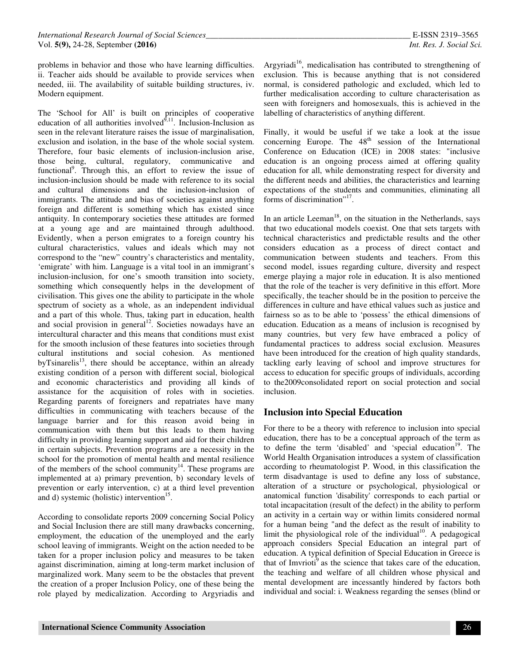problems in behavior and those who have learning difficulties. ii. Teacher aids should be available to provide services when needed, iii. The availability of suitable building structures, iv. Modern equipment.

The 'School for All' is built on principles of cooperative education of all authorities involved $\hat{Q}^{11}$ . Inclusion-Inclusion as seen in the relevant literature raises the issue of marginalisation, exclusion and isolation, in the base of the whole social system. Therefore, four basic elements of inclusion-inclusion arise, those being, cultural, regulatory, communicative and functional<sup>9</sup>. Through this, an effort to review the issue of inclusion-inclusion should be made with reference to its social and cultural dimensions and the inclusion-inclusion of immigrants. The attitude and bias of societies against anything foreign and different is something which has existed since antiquity. In contemporary societies these attitudes are formed at a young age and are maintained through adulthood. Evidently, when a person emigrates to a foreign country his cultural characteristics, values and ideals which may not correspond to the "new" country's characteristics and mentality, 'emigrate' with him. Language is a vital tool in an immigrant's inclusion-inclusion, for one's smooth transition into society, something which consequently helps in the development of civilisation. This gives one the ability to participate in the whole spectrum of society as a whole, as an independent individual and a part of this whole. Thus, taking part in education, health and social provision in general<sup>12</sup>. Societies nowadays have an intercultural character and this means that conditions must exist for the smooth inclusion of these features into societies through cultural institutions and social cohesion. As mentioned byTsinarelis<sup>13</sup>, there should be acceptance, within an already existing condition of a person with different social, biological and economic characteristics and providing all kinds of assistance for the acquisition of roles with in societies. Regarding parents of foreigners and repatriates have many difficulties in communicating with teachers because of the language barrier and for this reason avoid being in communication with them but this leads to them having difficulty in providing learning support and aid for their children in certain subjects. Prevention programs are a necessity in the school for the promotion of mental health and mental resilience of the members of the school community $14$ . These programs are implemented at a) primary prevention, b) secondary levels of prevention or early intervention, c) at a third level prevention and d) systemic (holistic) intervention<sup>15</sup>.

According to consolidate reports 2009 concerning Social Policy and Social Inclusion there are still many drawbacks concerning, employment, the education of the unemployed and the early school leaving of immigrants. Weight on the action needed to be taken for a proper inclusion policy and measures to be taken against discrimination, aiming at long-term market inclusion of marginalized work. Many seem to be the obstacles that prevent the creation of a proper Inclusion Policy, one of these being the role played by medicalization. According to Argyriadis and

Argyriadi<sup>16</sup>, medicalisation has contributed to strengthening of exclusion. This is because anything that is not considered normal, is considered pathologic and excluded, which led to further medicalisation according to culture characterisation as seen with foreigners and homosexuals, this is achieved in the labelling of characteristics of anything different.

Finally, it would be useful if we take a look at the issue concerning Europe. The  $48<sup>th</sup>$  session of the International Conference on Education (ICE) in 2008 states: "inclusive education is an ongoing process aimed at offering quality education for all, while demonstrating respect for diversity and the different needs and abilities, the characteristics and learning expectations of the students and communities, eliminating all forms of discrimination"<sup>17</sup>.

In an article Leeman<sup>18</sup>, on the situation in the Netherlands, says that two educational models coexist. One that sets targets with technical characteristics and predictable results and the other considers education as a process of direct contact and communication between students and teachers. From this second model, issues regarding culture, diversity and respect emerge playing a major role in education. It is also mentioned that the role of the teacher is very definitive in this effort. More specifically, the teacher should be in the position to perceive the differences in culture and have ethical values such as justice and fairness so as to be able to 'possess' the ethical dimensions of education. Education as a means of inclusion is recognised by many countries, but very few have embraced a policy of fundamental practices to address social exclusion. Measures have been introduced for the creation of high quality standards, tackling early leaving of school and improve structures for access to education for specific groups of individuals, according to the2009consolidated report on social protection and social inclusion.

## **Inclusion into Special Education**

For there to be a theory with reference to inclusion into special education, there has to be a conceptual approach of the term as to define the term 'disabled' and 'special education<sup>19</sup>. The World Health Organisation introduces a system of classification according to rheumatologist P. Wood, in this classification the term disadvantage is used to define any loss of substance, alteration of a structure or psychological, physiological or anatomical function 'disability' corresponds to each partial or total incapacitation (result of the defect) in the ability to perform an activity in a certain way or within limits considered normal for a human being "and the defect as the result of inability to limit the physiological role of the individual<sup>10</sup>. A pedagogical approach considers Special Education an integral part of education. A typical definition of Special Education in Greece is that of Imvrioti<sup>9</sup> as the science that takes care of the education, the teaching and welfare of all children whose physical and mental development are incessantly hindered by factors both individual and social: i. Weakness regarding the senses (blind or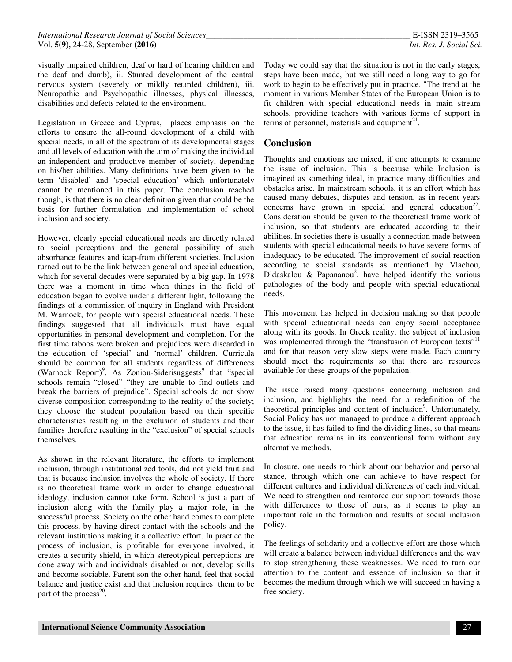visually impaired children, deaf or hard of hearing children and the deaf and dumb), ii. Stunted development of the central nervous system (severely or mildly retarded children), iii. Neuropathic and Psychopathic illnesses, physical illnesses, disabilities and defects related to the environment.

Legislation in Greece and Cyprus, places emphasis on the efforts to ensure the all-round development of a child with special needs, in all of the spectrum of its developmental stages and all levels of education with the aim of making the individual an independent and productive member of society, depending on his/her abilities. Many definitions have been given to the term 'disabled' and 'special education' which unfortunately cannot be mentioned in this paper. The conclusion reached though, is that there is no clear definition given that could be the basis for further formulation and implementation of school inclusion and society.

However, clearly special educational needs are directly related to social perceptions and the general possibility of such absorbance features and icap-from different societies. Inclusion turned out to be the link between general and special education, which for several decades were separated by a big gap. In 1978 there was a moment in time when things in the field of education began to evolve under a different light, following the findings of a commission of inquiry in England with President M. Warnock, for people with special educational needs. These findings suggested that all individuals must have equal opportunities in personal development and completion. For the first time taboos were broken and prejudices were discarded in the education of 'special' and 'normal' children. Curricula should be common for all students regardless of differences (Warnock Report)<sup>9</sup>. As Zoniou-Siderisuggests<sup>9</sup> that "special schools remain "closed" "they are unable to find outlets and break the barriers of prejudice". Special schools do not show diverse composition corresponding to the reality of the society; they choose the student population based on their specific characteristics resulting in the exclusion of students and their families therefore resulting in the "exclusion" of special schools themselves.

As shown in the relevant literature, the efforts to implement inclusion, through institutionalized tools, did not yield fruit and that is because inclusion involves the whole of society. If there is no theoretical frame work in order to change educational ideology, inclusion cannot take form. School is just a part of inclusion along with the family play a major role, in the successful process. Society on the other hand comes to complete this process, by having direct contact with the schools and the relevant institutions making it a collective effort. In practice the process of inclusion, is profitable for everyone involved, it creates a security shield, in which stereotypical perceptions are done away with and individuals disabled or not, develop skills and become sociable. Parent son the other hand, feel that social balance and justice exist and that inclusion requires them to be part of the process $^{20}$ .

Today we could say that the situation is not in the early stages, steps have been made, but we still need a long way to go for work to begin to be effectively put in practice. "The trend at the moment in various Member States of the European Union is to fit children with special educational needs in main stream schools, providing teachers with various forms of support in terms of personnel, materials and equipment $21$ .

## **Conclusion**

Thoughts and emotions are mixed, if one attempts to examine the issue of inclusion. This is because while Inclusion is imagined as something ideal, in practice many difficulties and obstacles arise. In mainstream schools, it is an effort which has caused many debates, disputes and tension, as in recent years concerns have grown in special and general education<sup>22</sup>. Consideration should be given to the theoretical frame work of inclusion, so that students are educated according to their abilities. In societies there is usually a connection made between students with special educational needs to have severe forms of inadequacy to be educated. The improvement of social reaction according to social standards as mentioned by Vlachou, Didaskalou & Papananou<sup>2</sup>, have helped identify the various pathologies of the body and people with special educational needs.

This movement has helped in decision making so that people with special educational needs can enjoy social acceptance along with its goods. In Greek reality, the subject of inclusion was implemented through the "transfusion of European texts" and for that reason very slow steps were made. Each country should meet the requirements so that there are resources available for these groups of the population.

The issue raised many questions concerning inclusion and inclusion, and highlights the need for a redefinition of the theoretical principles and content of inclusion<sup>9</sup>. Unfortunately, Social Policy has not managed to produce a different approach to the issue, it has failed to find the dividing lines, so that means that education remains in its conventional form without any alternative methods.

In closure, one needs to think about our behavior and personal stance, through which one can achieve to have respect for different cultures and individual differences of each individual. We need to strengthen and reinforce our support towards those with differences to those of ours, as it seems to play an important role in the formation and results of social inclusion policy.

The feelings of solidarity and a collective effort are those which will create a balance between individual differences and the way to stop strengthening these weaknesses. We need to turn our attention to the content and essence of inclusion so that it becomes the medium through which we will succeed in having a free society.